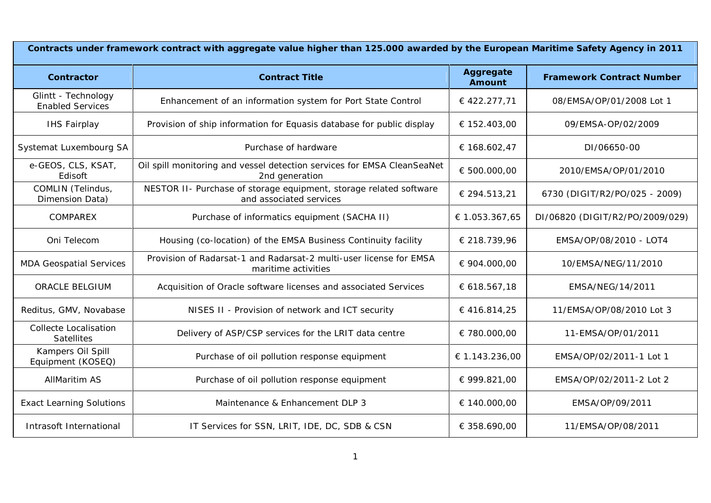| Contracts under framework contract with aggregate value higher than 125.000 awarded by the European Maritime Safety Agency in 2011 |                                                                                               |                     |                                 |  |  |
|------------------------------------------------------------------------------------------------------------------------------------|-----------------------------------------------------------------------------------------------|---------------------|---------------------------------|--|--|
| Contractor                                                                                                                         | <b>Contract Title</b>                                                                         | Aggregate<br>Amount | Framework Contract Number       |  |  |
| Glintt - Technology<br><b>Enabled Services</b>                                                                                     | Enhancement of an information system for Port State Control                                   | € 422.277,71        | 08/EMSA/OP/01/2008 Lot 1        |  |  |
| <b>IHS Fairplay</b>                                                                                                                | Provision of ship information for Equasis database for public display                         | € 152.403,00        | 09/EMSA-OP/02/2009              |  |  |
| Systemat Luxembourg SA                                                                                                             | Purchase of hardware                                                                          | € 168.602,47        | DI/06650-00                     |  |  |
| e-GEOS, CLS, KSAT,<br>Edisoft                                                                                                      | Oil spill monitoring and vessel detection services for EMSA CleanSeaNet<br>2nd generation     | € 500.000,00        | 2010/EMSA/OP/01/2010            |  |  |
| COMLIN (Telindus,<br>Dimension Data)                                                                                               | NESTOR II- Purchase of storage equipment, storage related software<br>and associated services | € 294.513,21        | 6730 (DIGIT/R2/PO/025 - 2009)   |  |  |
| COMPAREX                                                                                                                           | Purchase of informatics equipment (SACHA II)                                                  | € 1.053.367,65      | DI/06820 (DIGIT/R2/PO/2009/029) |  |  |
| Oni Telecom                                                                                                                        | Housing (co-location) of the EMSA Business Continuity facility                                | € 218.739,96        | EMSA/OP/08/2010 - LOT4          |  |  |
| <b>MDA Geospatial Services</b>                                                                                                     | Provision of Radarsat-1 and Radarsat-2 multi-user license for EMSA<br>maritime activities     | € 904.000,00        | 10/EMSA/NEG/11/2010             |  |  |
| <b>ORACLE BELGIUM</b>                                                                                                              | Acquisition of Oracle software licenses and associated Services                               | € 618.567,18        | EMSA/NEG/14/2011                |  |  |
| Reditus, GMV, Novabase                                                                                                             | NISES II - Provision of network and ICT security                                              | €416.814,25         | 11/EMSA/OP/08/2010 Lot 3        |  |  |
| <b>Collecte Localisation</b><br><b>Satellites</b>                                                                                  | Delivery of ASP/CSP services for the LRIT data centre                                         | € 780.000,00        | 11-EMSA/OP/01/2011              |  |  |
| Kampers Oil Spill<br>Equipment (KOSEQ)                                                                                             | Purchase of oil pollution response equipment                                                  | € 1.143.236,00      | EMSA/OP/02/2011-1 Lot 1         |  |  |
| <b>AllMaritim AS</b>                                                                                                               | Purchase of oil pollution response equipment                                                  | € 999.821,00        | EMSA/OP/02/2011-2 Lot 2         |  |  |
| <b>Exact Learning Solutions</b>                                                                                                    | Maintenance & Enhancement DLP 3                                                               | € 140.000,00        | EMSA/OP/09/2011                 |  |  |
| Intrasoft International                                                                                                            | IT Services for SSN, LRIT, IDE, DC, SDB & CSN                                                 | € 358.690,00        | 11/EMSA/OP/08/2011              |  |  |